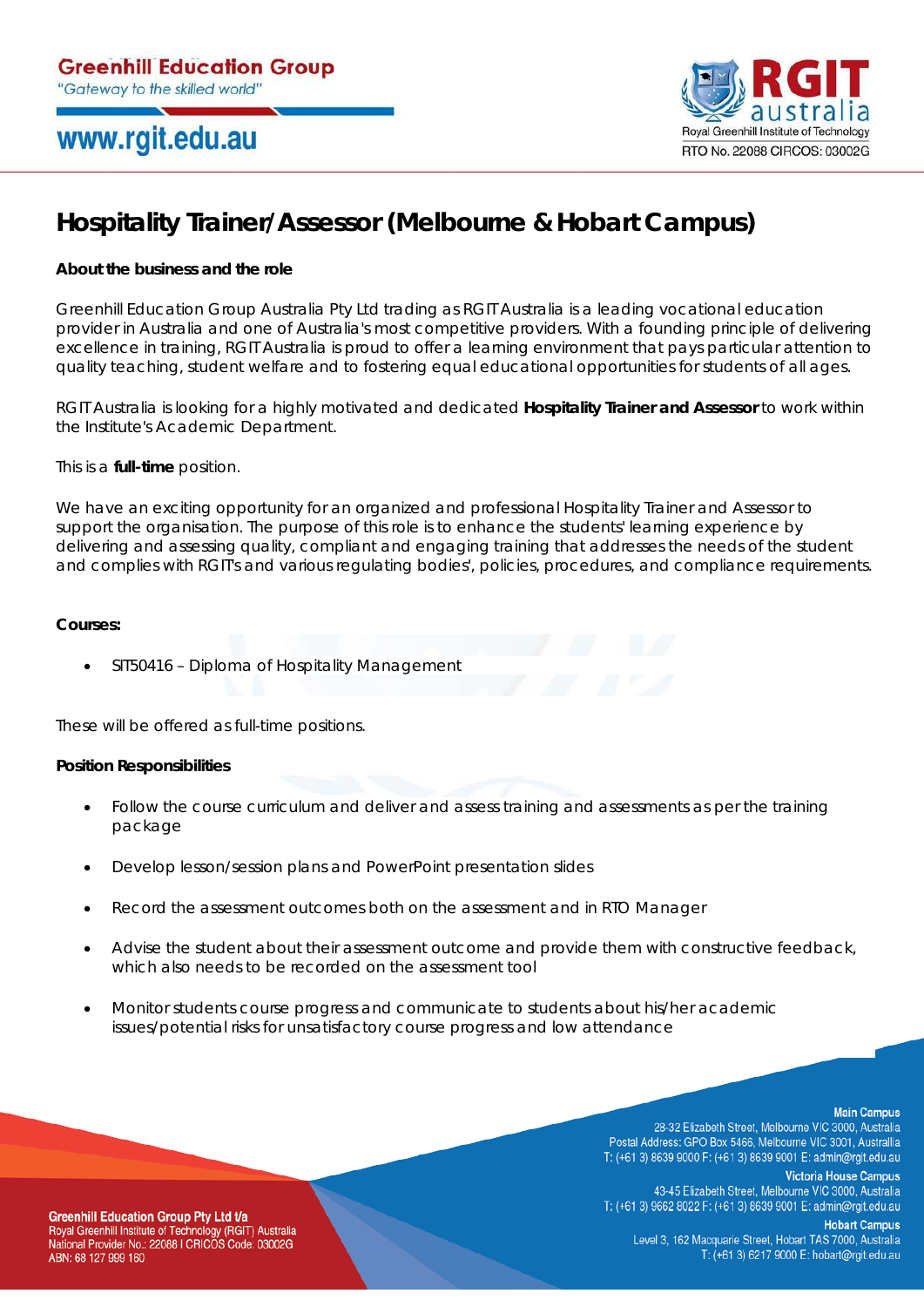## www.rgit.edu.au



## **Hospitality Trainer/Assessor (Melbourne & Hobart Campus)**

### **About the business and the role**

Greenhill Education Group Australia Pty Ltd trading as RGIT Australia is a leading vocational education provider in Australia and one of Australia's most competitive providers. With a founding principle of delivering excellence in training, RGIT Australia is proud to offer a learning environment that pays particular attention to quality teaching, student welfare and to fostering equal educational opportunities for students of all ages.

RGIT Australia is looking for a highly motivated and dedicated **Hospitality Trainer and Assessor** to work within the Institute's Academic Department.

This is a **full-time** position.

We have an exciting opportunity for an organized and professional Hospitality Trainer and Assessor to support the organisation. The purpose of this role is to enhance the students' learning experience by delivering and assessing quality, compliant and engaging training that addresses the needs of the student and complies with RGIT's and various regulating bodies', policies, procedures, and compliance requirements.

#### **Courses:**

• SIT50416 – Diploma of Hospitality Management

These will be offered as full-time positions.

#### **Position Responsibilities**

- Follow the course curriculum and deliver and assess training and assessments as per the training package
- Develop lesson/session plans and PowerPoint presentation slides
- Record the assessment outcomes both on the assessment and in RTO Manager
- Advise the student about their assessment outcome and provide them with constructive feedback, which also needs to be recorded on the assessment tool
- Monitor students course progress and communicate to students about his/her academic issues/potential risks for unsatisfactory course progress and low attendance

**Main Campus** 

28-32 Elizabeth Street, Melbourne VIC 3000, Australia Postal Address: GPO Box 5466, Melbourne VIC 3001, Australlia T: (+61 3) 8639 9000 F: (+61 3) 8639 9001 E: admin@rgit.edu.au

**Victoria House Campus** 43-45 Elizabeth Street, Melbourne VIC 3000, Australia T: (+61 3) 9662 8022 F: (+61 3) 8639 9001 E: admin@rgit.edu.au

**Greenhill Education Group Pty Ltd t/a** Royal Greenhill Institute of Technology (RGIT) Australia National Provider No.: 22088 I CRICOS Code: 03002G ABN: 68 127 999 160

**Hobart Campus** Level 3, 162 Macquarie Street, Hobart TAS 7000, Australia T: (+61 3) 6217 9000 E: hobart@rgit.edu.au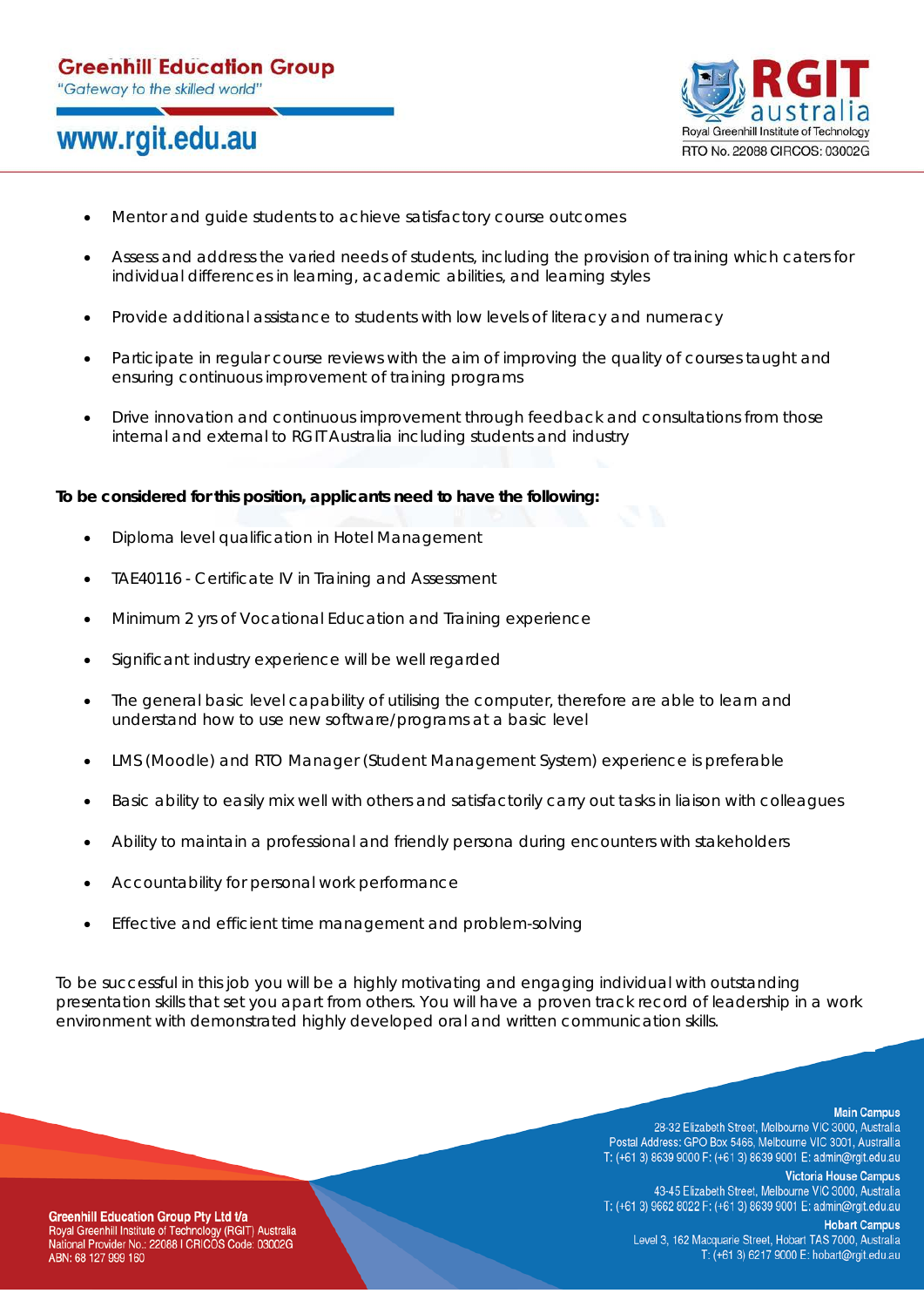## www.rgit.edu.au



- Mentor and guide students to achieve satisfactory course outcomes
- Assess and address the varied needs of students, including the provision of training which caters for individual differences in learning, academic abilities, and learning styles
- Provide additional assistance to students with low levels of literacy and numeracy
- Participate in regular course reviews with the aim of improving the quality of courses taught and ensuring continuous improvement of training programs
- Drive innovation and continuous improvement through feedback and consultations from those internal and external to RGIT Australia including students and industry

#### **To be considered for this position, applicants need to have the following:**

- Diploma level qualification in Hotel Management
- TAE40116 Certificate IV in Training and Assessment
- Minimum 2 yrs of Vocational Education and Training experience
- Significant industry experience will be well regarded
- The general basic level capability of utilising the computer, therefore are able to learn and understand how to use new software/programs at a basic level
- LMS (Moodle) and RTO Manager (Student Management System) experience is preferable
- Basic ability to easily mix well with others and satisfactorily carry out tasks in liaison with colleagues
- Ability to maintain a professional and friendly persona during encounters with stakeholders
- Accountability for personal work performance
- Effective and efficient time management and problem-solving

To be successful in this job you will be a highly motivating and engaging individual with outstanding presentation skills that set you apart from others. You will have a proven track record of leadership in a work environment with demonstrated highly developed oral and written communication skills.

**Main Campus** 

28-32 Elizabeth Street, Melbourne VIC 3000, Australia Postal Address: GPO Box 5466, Melbourne VIC 3001, Australlia T: (+61 3) 8639 9000 F: (+61 3) 8639 9001 E: admin@rgit.edu.au

**Victoria House Campus** 43-45 Elizabeth Street, Melbourne VIC 3000, Australia T: (+61 3) 9662 8022 F: (+61 3) 8639 9001 E: admin@rgit.edu.au

**Hobart Campus** Level 3, 162 Macquarie Street, Hobart TAS 7000, Australia T: (+61 3) 6217 9000 E: hobart@rgit.edu.au

**Greenhill Education Group Pty Ltd t/a** Royal Greenhill Institute of Technology (RGIT) Australia National Provider No.: 22088 I CRICOS Code: 03002G ABN: 68 127 999 160